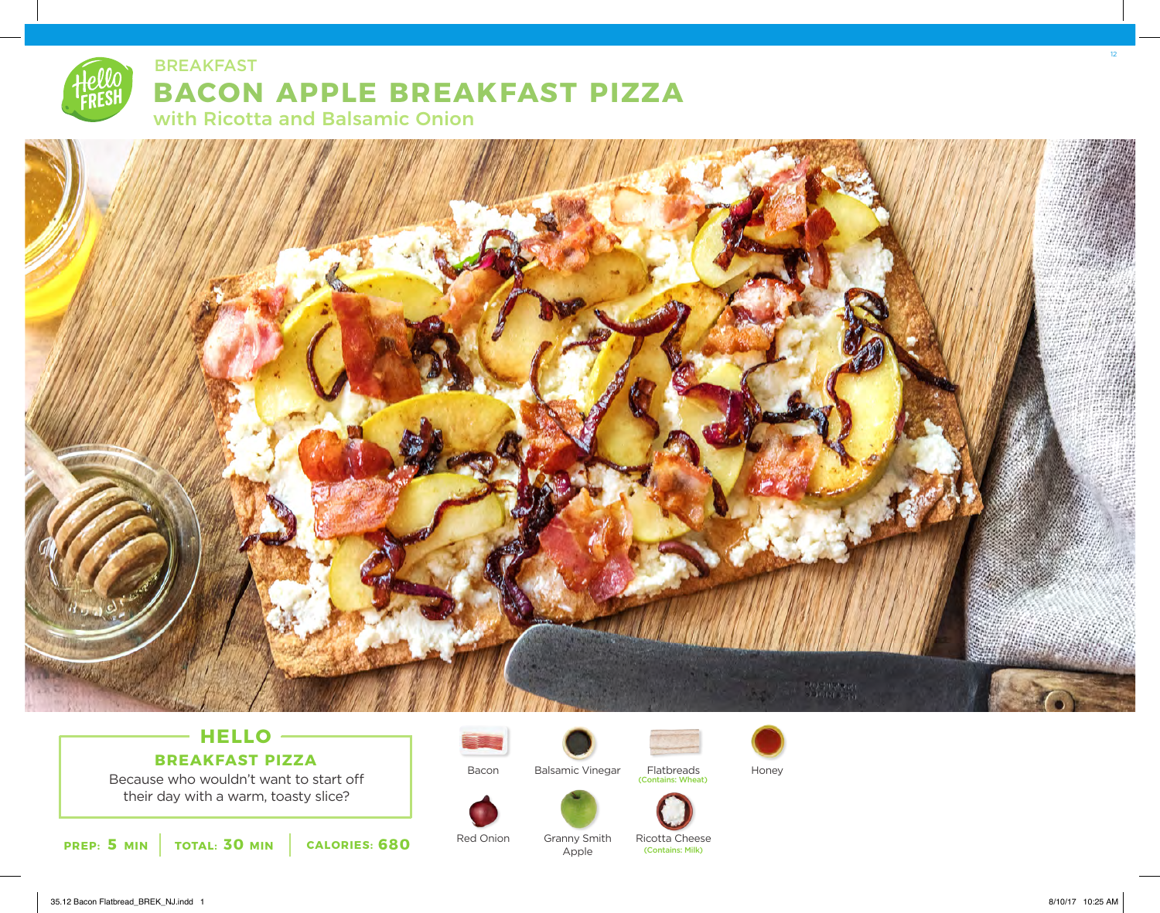



## - HELLO -

Because who wouldn't want to start off **BREAKFAST PIZZA**

their day with a warm, toasty slice?



Red Onion

Bacon



Balsamic Vinegar Flatbreads Honey

Flatbreads (Contains: Wheat)



Granny Smith Apple

Ricotta Cheese (Contains: Milk)

12